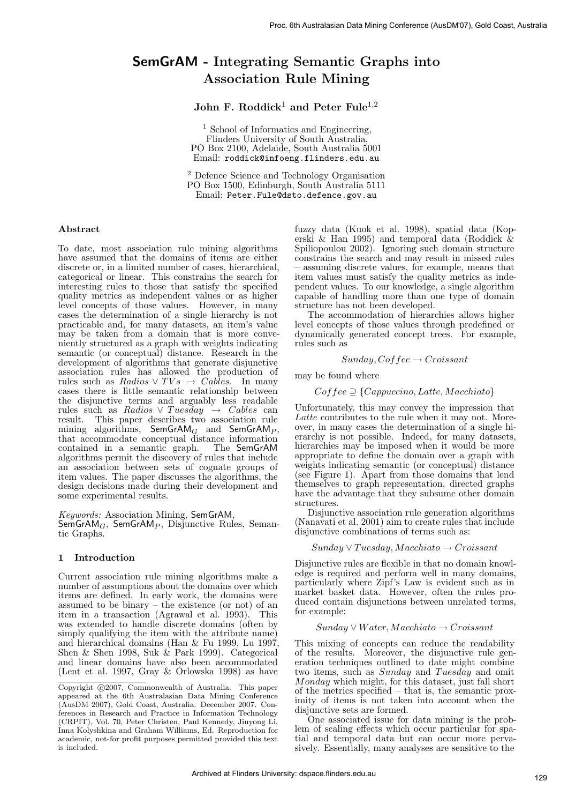# SemGrAM - Integrating Semantic Graphs into Association Rule Mining

# John F. Roddick<sup>1</sup> and Peter Fule<sup>1,2</sup>

<sup>1</sup> School of Informatics and Engineering, Flinders University of South Australia, PO Box 2100, Adelaide, South Australia 5001 Email: roddick@infoeng.flinders.edu.au

<sup>2</sup> Defence Science and Technology Organisation PO Box 1500, Edinburgh, South Australia 5111 Email: Peter.Fule@dsto.defence.gov.au

### Abstract

To date, most association rule mining algorithms have assumed that the domains of items are either discrete or, in a limited number of cases, hierarchical, categorical or linear. This constrains the search for interesting rules to those that satisfy the specified quality metrics as independent values or as higher level concepts of those values. However, in many cases the determination of a single hierarchy is not practicable and, for many datasets, an item's value may be taken from a domain that is more conveniently structured as a graph with weights indicating semantic (or conceptual) distance. Research in the development of algorithms that generate disjunctive association rules has allowed the production of rules such as Radios  $\vee TVs \rightarrow Cables$ . In many cases there is little semantic relationship between the disjunctive terms and arguably less readable rules such as Radios  $\vee$  Tuesday  $\rightarrow$  Cables can result. This paper describes two association rule mining algorithms,  $SemGrAM_G$  and  $SemGrAM_P$ , that accommodate conceptual distance information contained in a semantic graph. The SemGrAM algorithms permit the discovery of rules that include an association between sets of cognate groups of item values. The paper discusses the algorithms, the design decisions made during their development and some experimental results.

Keywords: Association Mining, SemGrAM,  $SemGrAM<sub>G</sub>$ , SemGrAM<sub>P</sub>, Disjunctive Rules, Semantic Graphs.

## 1 Introduction

Current association rule mining algorithms make a number of assumptions about the domains over which items are defined. In early work, the domains were assumed to be binary – the existence (or not) of an item in a transaction (Agrawal et al. 1993). This was extended to handle discrete domains (often by simply qualifying the item with the attribute name) and hierarchical domains (Han & Fu 1999, Lu 1997, Shen & Shen 1998, Suk & Park 1999). Categorical and linear domains have also been accommodated (Lent et al. 1997, Gray & Orlowska 1998) as have

fuzzy data (Kuok et al. 1998), spatial data (Koperski & Han 1995) and temporal data (Roddick  $\&$ Spiliopoulou 2002). Ignoring such domain structure constrains the search and may result in missed rules – assuming discrete values, for example, means that item values must satisfy the quality metrics as independent values. To our knowledge, a single algorithm capable of handling more than one type of domain structure has not been developed.

The accommodation of hierarchies allows higher level concepts of those values through predefined or dynamically generated concept trees. For example, rules such as

$$
Sunday, Coffee \rightarrow Croissant
$$

may be found where

# $Coffee \supseteq \{Cappuccino, Latte, Macchiato\}$

Unfortunately, this may convey the impression that Latte contributes to the rule when it may not. Moreover, in many cases the determination of a single hierarchy is not possible. Indeed, for many datasets, hierarchies may be imposed when it would be more appropriate to define the domain over a graph with weights indicating semantic (or conceptual) distance (see Figure 1). Apart from those domains that lend themselves to graph representation, directed graphs have the advantage that they subsume other domain structures.

Disjunctive association rule generation algorithms (Nanavati et al. 2001) aim to create rules that include disjunctive combinations of terms such as:

## $Sunday \vee Tuesday, Macchiato \rightarrow Croissant$

Disjunctive rules are flexible in that no domain knowledge is required and perform well in many domains, particularly where Zipf's Law is evident such as in market basket data. However, often the rules produced contain disjunctions between unrelated terms, for example:

#### $Sunday \vee Water, Macchiato \rightarrow Croissant$

This mixing of concepts can reduce the readability of the results. Moreover, the disjunctive rule generation techniques outlined to date might combine two items, such as Sunday and Tuesday and omit Monday which might, for this dataset, just fall short of the metrics specified – that is, the semantic proximity of items is not taken into account when the disjunctive sets are formed.

One associated issue for data mining is the problem of scaling effects which occur particular for spatial and temporal data but can occur more pervasively. Essentially, many analyses are sensitive to the

Copyright ©2007, Commonwealth of Australia. This paper appeared at the 6th Australasian Data Mining Conference (AusDM 2007), Gold Coast, Australia. December 2007. Conferences in Research and Practice in Information Technology (CRPIT), Vol. 70, Peter Christen, Paul Kennedy, Jiuyong Li, Inna Kolyshkina and Graham Williams, Ed. Reproduction for academic, not-for profit purposes permitted provided this text is included.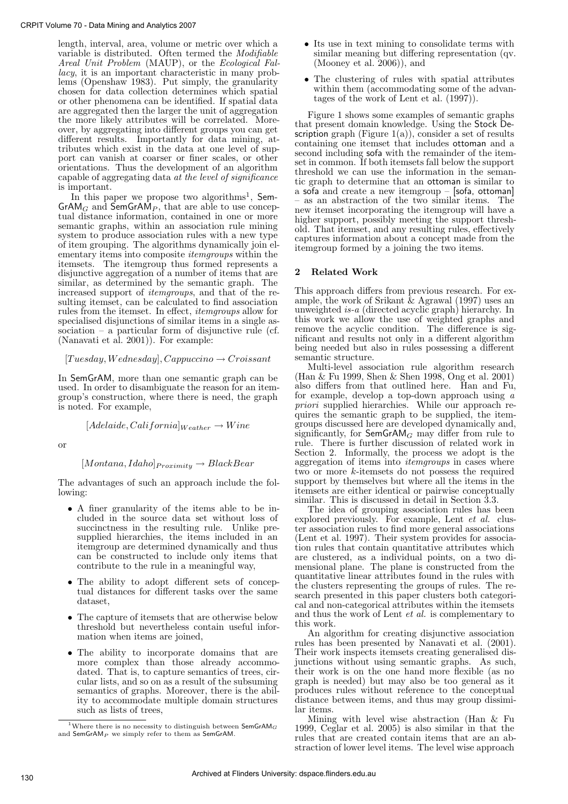length, interval, area, volume or metric over which a variable is distributed. Often termed the Modifiable Areal Unit Problem (MAUP), or the Ecological Fallacy, it is an important characteristic in many problems (Openshaw 1983). Put simply, the granularity chosen for data collection determines which spatial or other phenomena can be identified. If spatial data are aggregated then the larger the unit of aggregation the more likely attributes will be correlated. Moreover, by aggregating into different groups you can get different results. Importantly for data mining, attributes which exist in the data at one level of support can vanish at coarser or finer scales, or other orientations. Thus the development of an algorithm capable of aggregating data at the level of significance is important.

In this paper we propose two algorithms<sup>1</sup>, Sem- $GrAM_G$  and  $\overline{S}emGrAM_P$ , that are able to use conceptual distance information, contained in one or more semantic graphs, within an association rule mining system to produce association rules with a new type of item grouping. The algorithms dynamically join elementary items into composite *itemgroups* within the itemsets. The itemgroup thus formed represents a disjunctive aggregation of a number of items that are similar, as determined by the semantic graph. The increased support of itemgroups, and that of the resulting itemset, can be calculated to find association rules from the itemset. In effect, itemgroups allow for specialised disjunctions of similar items in a single association – a particular form of disjunctive rule (cf. (Nanavati et al. 2001)). For example:

#### $[Tွuesday, Wednesday], Cappuccino  $\rightarrow$  Croissant$

In SemGrAM, more than one semantic graph can be used. In order to disambiguate the reason for an itemgroup's construction, where there is need, the graph is noted. For example,

 $[Adelaide, California]_{Weather} \rightarrow Wine$ 

or

## $[Montana, Idaho]$  $Proximity \rightarrow Black Bear$

The advantages of such an approach include the following:

- A finer granularity of the items able to be included in the source data set without loss of succinctness in the resulting rule. Unlike presupplied hierarchies, the items included in an itemgroup are determined dynamically and thus can be constructed to include only items that contribute to the rule in a meaningful way,
- The ability to adopt different sets of conceptual distances for different tasks over the same dataset,
- The capture of itemsets that are otherwise below threshold but nevertheless contain useful information when items are joined,
- The ability to incorporate domains that are more complex than those already accommodated. That is, to capture semantics of trees, circular lists, and so on as a result of the subsuming semantics of graphs. Moreover, there is the ability to accommodate multiple domain structures such as lists of trees,
- Its use in text mining to consolidate terms with similar meaning but differing representation (qv. (Mooney et al. 2006)), and
- The clustering of rules with spatial attributes within them (accommodating some of the advantages of the work of Lent et al. (1997)).

Figure 1 shows some examples of semantic graphs that present domain knowledge. Using the Stock Description graph (Figure 1(a)), consider a set of results containing one itemset that includes ottoman and a second including sofa with the remainder of the itemset in common. If both itemsets fall below the support threshold we can use the information in the semantic graph to determine that an ottoman is similar to a sofa and create a new itemgroup – [sofa, ottoman] – as an abstraction of the two similar items. The new itemset incorporating the itemgroup will have a higher support, possibly meeting the support threshold. That itemset, and any resulting rules, effectively captures information about a concept made from the itemgroup formed by a joining the two items.

## 2 Related Work

This approach differs from previous research. For example, the work of Srikant  $\&$  Agrawal (1997) uses an unweighted is-a (directed acyclic graph) hierarchy. In this work we allow the use of weighted graphs and remove the acyclic condition. The difference is significant and results not only in a different algorithm being needed but also in rules possessing a different semantic structure.

Multi-level association rule algorithm research (Han & Fu 1999, Shen & Shen 1998, Ong et al. 2001) also differs from that outlined here. Han and Fu, for example, develop a top-down approach using a priori supplied hierarchies. While our approach requires the semantic graph to be supplied, the itemgroups discussed here are developed dynamically and, significantly, for  $\mathsf{SemGrAM}_G$  may differ from rule to rule. There is further discussion of related work in Section 2. Informally, the process we adopt is the aggregation of items into itemgroups in cases where two or more k-itemsets do not possess the required support by themselves but where all the items in the itemsets are either identical or pairwise conceptually similar. This is discussed in detail in Section 3.3.

The idea of grouping association rules has been explored previously. For example, Lent et al. cluster association rules to find more general associations (Lent et al. 1997). Their system provides for association rules that contain quantitative attributes which are clustered, as a individual points, on a two dimensional plane. The plane is constructed from the quantitative linear attributes found in the rules with the clusters representing the groups of rules. The research presented in this paper clusters both categorical and non-categorical attributes within the itemsets and thus the work of Lent et al. is complementary to this work.

An algorithm for creating disjunctive association rules has been presented by Nanavati et al. (2001). Their work inspects itemsets creating generalised disjunctions without using semantic graphs. As such, their work is on the one hand more flexible (as no graph is needed) but may also be too general as it produces rules without reference to the conceptual distance between items, and thus may group dissimilar items.

Mining with level wise abstraction (Han & Fu 1999, Ceglar et al. 2005) is also similar in that the rules that are created contain items that are an abstraction of lower level items. The level wise approach

<sup>&</sup>lt;sup>1</sup>Where there is no necessity to distinguish between  $\mathsf{SemGrAM}_G$ and  $\mathsf{SemGrAM}_P$  we simply refer to them as  $\mathsf{SemGrAM}.$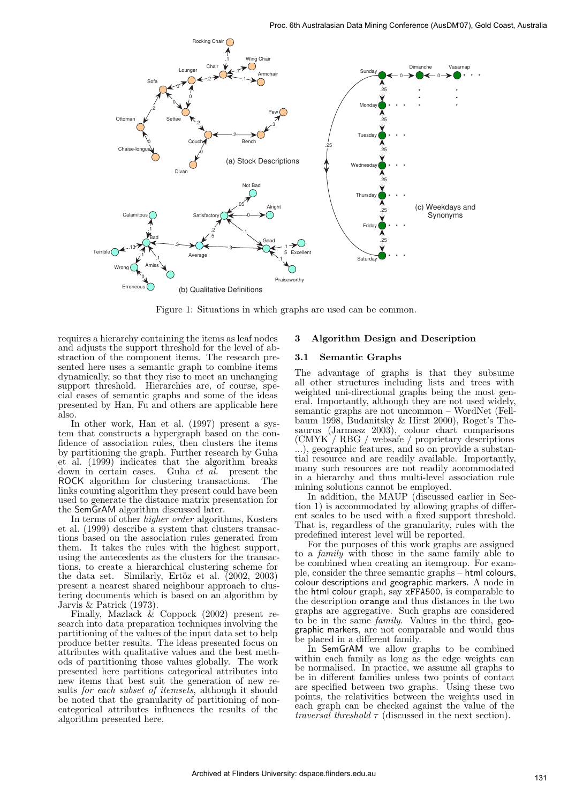

Figure 1: Situations in which graphs are used can be common.

requires a hierarchy containing the items as leaf nodes and adjusts the support threshold for the level of abstraction of the component items. The research presented here uses a semantic graph to combine items dynamically, so that they rise to meet an unchanging support threshold. Hierarchies are, of course, special cases of semantic graphs and some of the ideas presented by Han, Fu and others are applicable here also.

In other work, Han et al. (1997) present a system that constructs a hypergraph based on the confidence of association rules, then clusters the items by partitioning the graph. Further research by Guha et al. (1999) indicates that the algorithm breaks down in certain cases. Guha et al. present the ROCK algorithm for clustering transactions. The links counting algorithm they present could have been used to generate the distance matrix presentation for the SemGrAM algorithm discussed later.

In terms of other higher order algorithms, Kosters et al. (1999) describe a system that clusters transactions based on the association rules generated from them. It takes the rules with the highest support, using the antecedents as the clusters for the transactions, to create a hierarchical clustering scheme for the data set. Similarly, Ertöz et al.  $(2002, 2003)$ present a nearest shared neighbour approach to clustering documents which is based on an algorithm by Jarvis & Patrick (1973).

Finally, Mazlack & Coppock (2002) present research into data preparation techniques involving the partitioning of the values of the input data set to help produce better results. The ideas presented focus on attributes with qualitative values and the best methods of partitioning those values globally. The work presented here partitions categorical attributes into new items that best suit the generation of new results *for each subset of itemsets*, although it should be noted that the granularity of partitioning of noncategorical attributes influences the results of the algorithm presented here.

## 3 Algorithm Design and Description

### 3.1 Semantic Graphs

The advantage of graphs is that they subsume all other structures including lists and trees with weighted uni-directional graphs being the most general. Importantly, although they are not used widely, semantic graphs are not uncommon – WordNet (Fellbaum 1998, Budanitsky & Hirst 2000), Roget's Thesaurus (Jarmasz 2003), colour chart comparisons (CMYK / RBG / websafe / proprietary descriptions ...), geographic features, and so on provide a substantial resource and are readily available. Importantly, many such resources are not readily accommodated in a hierarchy and thus multi-level association rule mining solutions cannot be employed.

In addition, the MAUP (discussed earlier in Section 1) is accommodated by allowing graphs of different scales to be used with a fixed support threshold. That is, regardless of the granularity, rules with the predefined interest level will be reported.

For the purposes of this work graphs are assigned to a family with those in the same family able to be combined when creating an itemgroup. For example, consider the three semantic graphs – html colours, colour descriptions and geographic markers. A node in the html colour graph, say xFFA500, is comparable to the description orange and thus distances in the two graphs are aggregative. Such graphs are considered to be in the same family. Values in the third, geographic markers, are not comparable and would thus be placed in a different family.

In SemGrAM we allow graphs to be combined within each family as long as the edge weights can be normalised. In practice, we assume all graphs to be in different families unless two points of contact are specified between two graphs. Using these two points, the relativities between the weights used in each graph can be checked against the value of the *traversal threshold*  $\tau$  (discussed in the next section).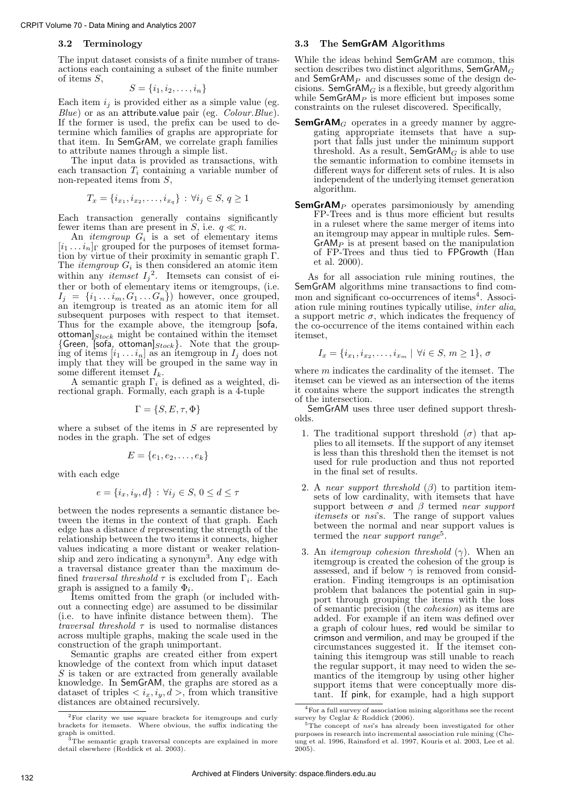#### 3.2 Terminology

The input dataset consists of a finite number of transactions each containing a subset of the finite number of items S,

$$
S = \{i_1, i_2, \ldots, i_n\}
$$

Each item  $i_j$  is provided either as a simple value (eg.  $Blue)$  or as an attribute.value pair (eg.  $Color. Blue)$ . If the former is used, the prefix can be used to determine which families of graphs are appropriate for that item. In SemGrAM, we correlate graph families to attribute names through a simple list.

The input data is provided as transactions, with each transaction  $T_i$  containing a variable number of non-repeated items from S,

$$
T_x = \{i_{x_1}, i_{x_2}, \dots, i_{x_q}\} : \forall i_j \in S, q \ge 1
$$

Each transaction generally contains significantly fewer items than are present in S, i.e.  $q \ll n$ .

An *itemgroup*  $G_i$  is a set of elementary items  $[i_1 \dots i_n]$ <sub>Γ</sub> grouped for the purposes of itemset formation by virtue of their proximity in semantic graph Γ. The *itemgroup*  $G_i$  is then considered an atomic item within any *itemset*  $I_j^2$ . Itemsets can consist of either or both of elementary items or itemgroups, (i.e.  $I_j = \{i_1 \dots i_m, G_1 \dots G_n\}$  however, once grouped, an itemgroup is treated as an atomic item for all subsequent purposes with respect to that itemset. Thus for the example above, the itemgroup [sofa, ottoman $]_{Stock}$  might be contained within the itemset {Green, [sofa, ottoman] $_{Stock}$ }. Note that the grouping of items  $[i_1 \dots i_n]$  as an itemgroup in  $I_j$  does not imply that they will be grouped in the same way in some different itemset  $I_k$ .

A semantic graph  $\Gamma_i$  is defined as a weighted, directional graph. Formally, each graph is a 4-tuple

$$
\Gamma = \{S, E, \tau, \Phi\}
$$

where a subset of the items in  $S$  are represented by nodes in the graph. The set of edges

$$
E = \{e_1, e_2, \ldots, e_k\}
$$

with each edge

$$
e = \{i_x, i_y, d\} : \forall i_j \in S, \, 0 \le d \le \tau
$$

between the nodes represents a semantic distance between the items in the context of that graph. Each edge has a distance d representing the strength of the relationship between the two items it connects, higher values indicating a more distant or weaker relationship and zero indicating a synonym<sup>3</sup>. Any edge with a traversal distance greater than the maximum defined *traversal threshold*  $\tau$  is excluded from  $\Gamma_i$ . Each graph is assigned to a family  $\Phi_i$ .

Items omitted from the graph (or included without a connecting edge) are assumed to be dissimilar (i.e. to have infinite distance between them). The *traversal threshold*  $\tau$  is used to normalise distances across multiple graphs, making the scale used in the construction of the graph unimportant.

Semantic graphs are created either from expert knowledge of the context from which input dataset  $S$  is taken or are extracted from generally available knowledge. In SemGrAM, the graphs are stored as a dataset of triples  $\langle i_x, i_y, d \rangle$ , from which transitive distances are obtained recursively.

#### 3.3 The SemGrAM Algorithms

While the ideas behind SemGrAM are common, this section describes two distinct algorithms,  $\mathsf{SemGrAM}_G$ and  $SemGrAM_P$  and discusses some of the design decisions. SemGr $AM_G$  is a flexible, but greedy algorithm while  $SemGrAM_P$  is more efficient but imposes some constraints on the ruleset discovered. Specifically,

- **SemGrAM**<sub>G</sub> operates in a greedy manner by aggregating appropriate itemsets that have a support that falls just under the minimum support threshold. As a result,  $SemGrAM_G$  is able to use the semantic information to combine itemsets in different ways for different sets of rules. It is also independent of the underlying itemset generation algorithm.
- **SemGrAM**<sub>P</sub> operates parsimoniously by amending FP-Trees and is thus more efficient but results in a ruleset where the same merger of items into an itemgroup may appear in multiple rules. Sem- $GrAM<sub>P</sub>$  is at present based on the manipulation of FP-Trees and thus tied to FPGrowth (Han et al. 2000).

As for all association rule mining routines, the SemGrAM algorithms mine transactions to find common and significant co-occurrences of items<sup>4</sup>. Association rule mining routines typically utilise, inter alia, a support metric  $\sigma$ , which indicates the frequency of the co-occurrence of the items contained within each itemset,

$$
I_x = \{i_{x_1}, i_{x_2}, \dots, i_{x_m} \mid \forall i \in S, m \ge 1\}, \sigma
$$

where  $m$  indicates the cardinality of the itemset. The itemset can be viewed as an intersection of the items it contains where the support indicates the strength of the intersection.

SemGrAM uses three user defined support thresholds.

- 1. The traditional support threshold  $(\sigma)$  that applies to all itemsets. If the support of any itemset is less than this threshold then the itemset is not used for rule production and thus not reported in the final set of results.
- 2. A near support threshold  $(\beta)$  to partition itemsets of low cardinality, with itemsets that have support between  $\sigma$  and  $\beta$  termed near support itemsets or nsi's. The range of support values between the normal and near support values is termed the *near support range*<sup>5</sup>.
- 3. An *itemgroup cohesion threshold*  $(\gamma)$ . When an itemgroup is created the cohesion of the group is assessed, and if below  $\gamma$  is removed from consideration. Finding itemgroups is an optimisation problem that balances the potential gain in support through grouping the items with the loss of semantic precision (the cohesion) as items are added. For example if an item was defined over a graph of colour hues, red would be similar to crimson and vermilion, and may be grouped if the circumstances suggested it. If the itemset containing this itemgroup was still unable to reach the regular support, it may need to widen the semantics of the itemgroup by using other higher support items that were conceptually more distant. If pink, for example, had a high support

<sup>2</sup>For clarity we use square brackets for itemgroups and curly brackets for itemsets. Where obvious, the suffix indicating the graph is omitted.

<sup>3</sup>The semantic graph traversal concepts are explained in more detail elsewhere (Roddick et al. 2003).

<sup>4</sup>For a full survey of association mining algorithms see the recent survey by Ceglar & Roddick (2006).<br><sup>5</sup>The concept of *nsi*'s has already been investigated for other

purposes in research into incremental association rule mining (Cheung et al. 1996, Rainsford et al. 1997, Kouris et al. 2003, Lee et al. 2005).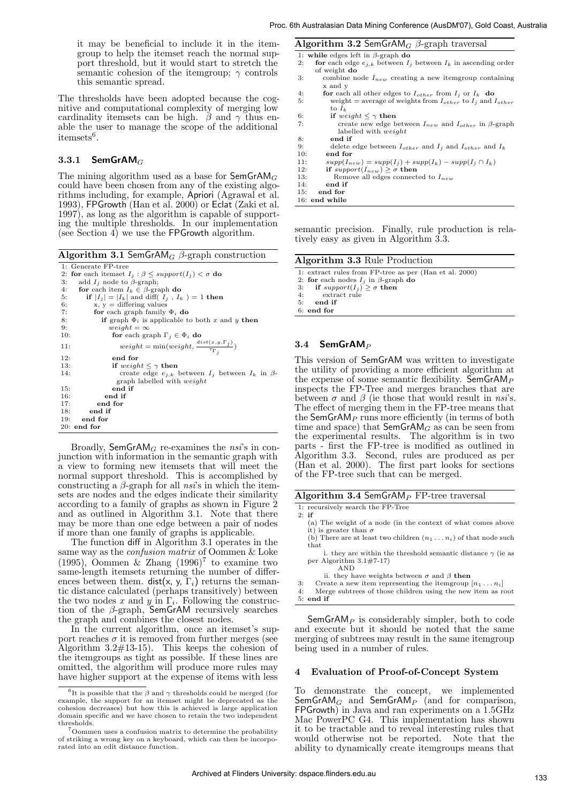it may be beneficial to include it in the itemgroup to help the itemset reach the normal support threshold, but it would start to stretch the semantic cohesion of the itemgroup;  $\gamma$  controls this semantic spread.

The thresholds have been adopted because the cognitive and computational complexity of merging low cardinality itemsets can be high.  $\beta$  and  $\gamma$  thus enable the user to manage the scope of the additional  $itemsets<sup>6</sup>$ .

## 3.3.1 SemGrAM $_G$

The mining algorithm used as a base for  $\mathsf{SemGrAM}_G$ could have been chosen from any of the existing algorithms including, for example, Apriori (Agrawal et al. 1993), FPGrowth (Han et al. 2000) or Eclat (Zaki et al. 1997), as long as the algorithm is capable of supporting the multiple thresholds. In our implementation (see Section 4) we use the FPGrowth algorithm.

Algorithm 3.1 SemGrAM<sub>G</sub>  $\beta$ -graph construction

```
1: Generate FP-tree<br>
2: for each itemset I_j : \beta \leq support(I_j) < \sigma do<br>
3: add I_j node to β-graph;<br>
4: for each item I_k \in \beta-graph do
5: if |I_j| = |I_k| and diff( I_j, I_k ) = 1 then<br>6: if |I_j| = |I_k| and diff( I_j, I_k ) = 1 then<br>6: x, y = differing values
                  y = differing values
7: for each graph family \Phi_i do<br>8: if graph \Phi_i is applicable to
                   if graph \Phi_i is applicable to both x and y then
9: weight = \infty<br>10: for each gr:
10: for each graph \Gamma_j \in \Phi_i do
11: weight = \min(weight, \frac{dist(x, y, \Gamma_j)}{\tau_{\Gamma_j}})12: end for
13: if weight \leq \gamma then
14: create edge e_{j,k} between I_j between I_k in β-<br>graph labelled with weight
15: end if<br>16: end if
16: end if<br>17: end for
17: \qquad \qquad \text{end} for<br>18: \qquad \qquad \text{end} if
             end if
19<sub>19</sub> end for
20: end for
```
Broadly, SemGrAM<sub>G</sub> re-examines the *nsi*'s in conjunction with information in the semantic graph with a view to forming new itemsets that will meet the normal support threshold. This is accomplished by constructing a  $\beta$ -graph for all nsi's in which the itemsets are nodes and the edges indicate their similarity according to a family of graphs as shown in Figure 2 and as outlined in Algorithm 3.1. Note that there may be more than one edge between a pair of nodes if more than one family of graphs is applicable.

The function diff in Algorithm 3.1 operates in the same way as the confusion matrix of Oommen & Loke (1995), Oommen & Zhang  $(1996)^7$  to examine two same-length itemsets returning the number of differences between them. dist(x, y,  $\Gamma_i$ ) returns the semantic distance calculated (perhaps transitively) between the two nodes x and y in  $\Gamma_i$ . Following the construction of the  $\beta$ -graph, SemGrAM recursively searches the graph and combines the closest nodes.

In the current algorithm, once an itemset's support reaches  $\sigma$  it is removed from further merges (see Algorithm 3.2#13-15). This keeps the cohesion of the itemgroups as tight as possible. If these lines are omitted, the algorithm will produce more rules may have higher support at the expense of items with less

| <b>Algorithm 3.2 SemGrAM</b> <sub>G</sub> $\beta$ -graph traversal           |
|------------------------------------------------------------------------------|
| 1: while edges left in $\beta$ -graph do                                     |
| for each edge $e_{i,k}$ between $I_i$ between $I_k$ in ascending order<br>2: |
| of weight do                                                                 |
| 3:<br>combine node $I_{new}$ creating a new itemgroup containing             |
| x and y                                                                      |
| 4:<br>for each all other edges to $I_{other}$ from $I_i$ or $I_k$ do         |
| 5:<br>weight = average of weights from $I_{other}$ to $I_i$ and $I_{other}$  |
| to $I_k$                                                                     |
| 6:<br>if weight $\leq \gamma$ then                                           |
| 7:<br>create new edge between $I_{new}$ and $I_{other}$ in $\beta$ -graph    |
| labelled with <i>weight</i>                                                  |
| end if<br>8:                                                                 |
| 9:<br>delete edge between $I_{other}$ and $I_i$ and $I_{other}$ and $I_k$    |
| end for<br>10:                                                               |
| $supp(I_{new}) = supp(I_i) + supp(I_k) - supp(I_i \cap I_k)$<br>11:          |
| if $support(I_{new}) \geq \sigma$ then<br>12:                                |
| 13:<br>Remove all edges connected to $I_{new}$                               |
| end if<br>14:                                                                |
| end for<br>15:                                                               |
| $16:$ end while                                                              |

semantic precision. Finally, rule production is relatively easy as given in Algorithm 3.3.

Algorithm 3.3 Rule Production

- 1: extract rules from FP-tree as per (Han et al. 2000)
- 2: for each nodes  $I_j$  in  $\beta$ -graph do<br>3: if  $support(I_j) \geq \sigma$  then
- 
- 4: extract rule
- 5: end if
- 6: end for

#### $3.4$  SemGrAM<sub>P</sub>

This version of SemGrAM was written to investigate the utility of providing a more efficient algorithm at the expense of some semantic flexibility.  $SemGrAM_P$ inspects the FP-Tree and merges branches that are between  $\sigma$  and  $\beta$  (ie those that would result in nsi's. The effect of merging them in the FP-tree means that the SemGrAM<sub>P</sub> runs more efficiently (in terms of both time and space) that  $\mathsf{SemGrAM}_G$  as can be seen from the experimental results. The algorithm is in two parts - first the FP-tree is modified as outlined in Algorithm 3.3. Second, rules are produced as per (Han et al. 2000). The first part looks for sections of the FP-tree such that can be merged.

|  | Algorithm 3.4 Sem $GrAM_P$ FP-tree traversal |  |  |
|--|----------------------------------------------|--|--|
|--|----------------------------------------------|--|--|

- 1: recursively search the FP-Tree 2: if
- (a) The weight of a node (in the context of what comes above it) is greater than  $\sigma$
- (b) There are at least two children  $(n_1 \ldots n_i)$  of that node such that
- i. they are within the threshold semantic distance  $\gamma$  (ie as per Algorithm 3.1#7-17) AND
- ii. they have weights between  $\sigma$  and  $\beta$  then
- 3: Create a new item representing the itemgroup  $[n_1 \ldots n_i]$
- 4: Merge subtrees of those children using the new item as root
- 5: end if

 $SemGrAM<sub>P</sub>$  is considerably simpler, both to code and execute but it should be noted that the same merging of subtrees may result in the same itemgroup being used in a number of rules.

#### 4 Evaluation of Proof-of-Concept System

To demonstrate the concept, we implemented SemGrAM $_G$  and SemGrAM $_P$  (and for comparison, FPGrowth) in Java and ran experiments on a 1.5GHz Mac PowerPC G4. This implementation has shown it to be tractable and to reveal interesting rules that would otherwise not be reported. Note that the ability to dynamically create itemgroups means that

<sup>&</sup>lt;sup>6</sup>It is possible that the  $\beta$  and  $\gamma$  thresholds could be merged (for example, the support for an itemset might be deprecated as the cohesion decreases) but how this is achieved is large application domain specific and we have chosen to retain the two independent thresholds.

<sup>7</sup>Oommen uses a confusion matrix to determine the probability of striking a wrong key on a keyboard, which can then be incorporated into an edit distance function.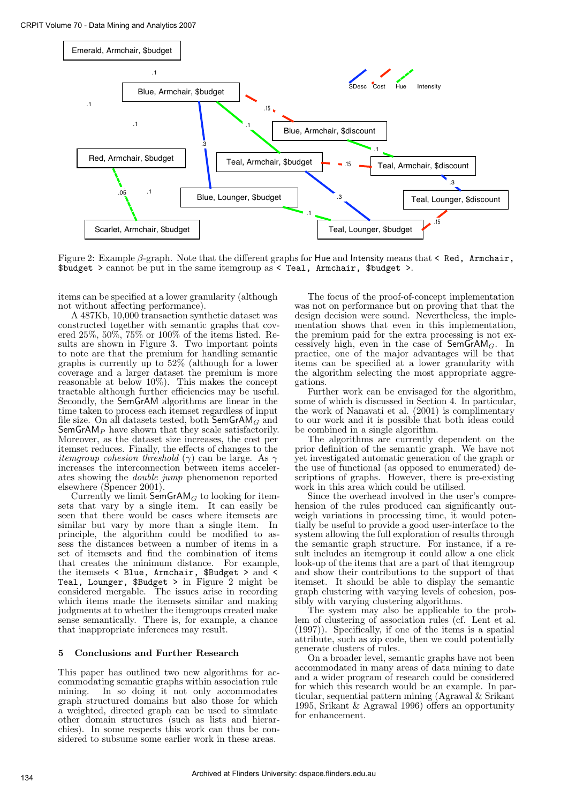

Figure 2: Example β-graph. Note that the different graphs for Hue and Intensity means that < Red, Armchair,  $$budget > cannot be put in the same itemgroup as < Tea1, Armchair, $budget >.$ 

items can be specified at a lower granularity (although not without affecting performance).

A 487Kb, 10,000 transaction synthetic dataset was constructed together with semantic graphs that covered 25%, 50%, 75% or 100% of the items listed. Results are shown in Figure 3. Two important points to note are that the premium for handling semantic graphs is currently up to 52% (although for a lower coverage and a larger dataset the premium is more reasonable at below 10%). This makes the concept tractable although further efficiencies may be useful. Secondly, the SemGrAM algorithms are linear in the time taken to process each itemset regardless of input file size. On all datasets tested, both  $\overline{\mathsf{SemGrAM}}_G$  and Sem $GrAM_P$  have shown that they scale satisfactorily. Moreover, as the dataset size increases, the cost per itemset reduces. Finally, the effects of changes to the *itemaroup cohesion threshold* ( $\gamma$ ) can be large. As  $\gamma$ increases the interconnection between items accelerates showing the double jump phenomenon reported elsewhere (Spencer 2001).

Currently we limit  $\mathsf{SemGrAM}_G$  to looking for itemsets that vary by a single item. It can easily be seen that there would be cases where itemsets are similar but vary by more than a single item. In principle, the algorithm could be modified to assess the distances between a number of items in a set of itemsets and find the combination of items that creates the minimum distance. For example, the itemsets < Blue, Armchair, \$Budget > and < Teal, Lounger, \$Budget > in Figure 2 might be considered mergable. The issues arise in recording which items made the itemsets similar and making judgments at to whether the itemgroups created make sense semantically. There is, for example, a chance that inappropriate inferences may result.

## 5 Conclusions and Further Research

This paper has outlined two new algorithms for accommodating semantic graphs within association rule mining. In so doing it not only accommodates graph structured domains but also those for which a weighted, directed graph can be used to simulate other domain structures (such as lists and hierarchies). In some respects this work can thus be considered to subsume some earlier work in these areas.

The focus of the proof-of-concept implementation was not on performance but on proving that that the design decision were sound. Nevertheless, the implementation shows that even in this implementation, the premium paid for the extra processing is not excessively high, even in the case of  $SemGrAM<sub>G</sub>$ . In practice, one of the major advantages will be that items can be specified at a lower granularity with the algorithm selecting the most appropriate aggregations.

Further work can be envisaged for the algorithm, some of which is discussed in Section 4. In particular, the work of Nanavati et al. (2001) is complimentary to our work and it is possible that both ideas could be combined in a single algorithm.

The algorithms are currently dependent on the prior definition of the semantic graph. We have not yet investigated automatic generation of the graph or the use of functional (as opposed to enumerated) descriptions of graphs. However, there is pre-existing work in this area which could be utilised.

Since the overhead involved in the user's comprehension of the rules produced can significantly outweigh variations in processing time, it would potentially be useful to provide a good user-interface to the system allowing the full exploration of results through the semantic graph structure. For instance, if a result includes an itemgroup it could allow a one click look-up of the items that are a part of that itemgroup and show their contributions to the support of that itemset. It should be able to display the semantic graph clustering with varying levels of cohesion, possibly with varying clustering algorithms.

The system may also be applicable to the problem of clustering of association rules (cf. Lent et al. (1997)). Specifically, if one of the items is a spatial attribute, such as zip code, then we could potentially generate clusters of rules.

On a broader level, semantic graphs have not been accommodated in many areas of data mining to date and a wider program of research could be considered for which this research would be an example. In particular, sequential pattern mining (Agrawal & Srikant 1995, Srikant & Agrawal 1996) offers an opportunity for enhancement.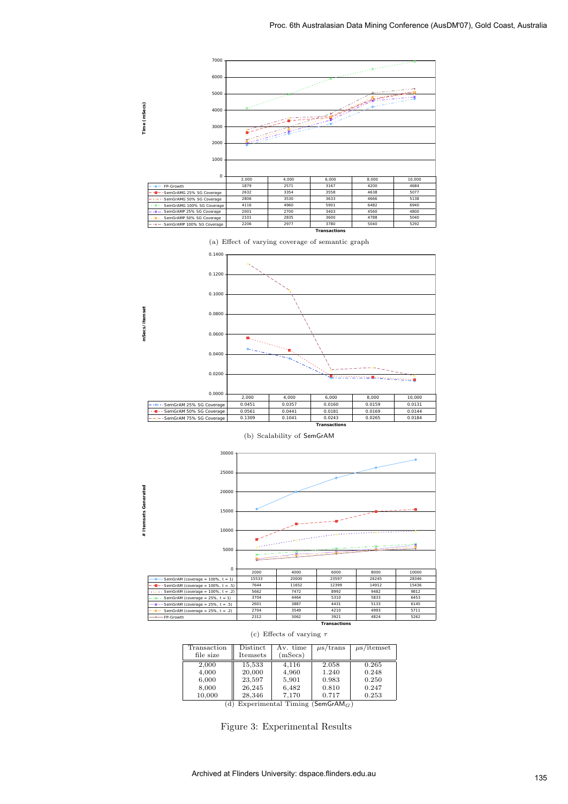

(a) Effect of varying coverage of semantic graph







(c) Effects of varying  $\tau$ 

| Distinct<br>Itemsets | Av. time<br>(mSecs) | $\mu$ s/trans  | $\mu$ s/itemset |
|----------------------|---------------------|----------------|-----------------|
| 15,533               | 4.116               | 2.058          | 0.265           |
| 23.597               | 5,901               | 0.983          | 0.248<br>0.250  |
| 26.245               | 6.482               | 0.810          | 0.247<br>0.253  |
|                      | 20,000<br>28,346    | 4,960<br>7.170 | 1.240<br>0.717  |

(d) Experimental Timing  $(SemGrAM<sub>G</sub>)$ 

Figure 3: Experimental Results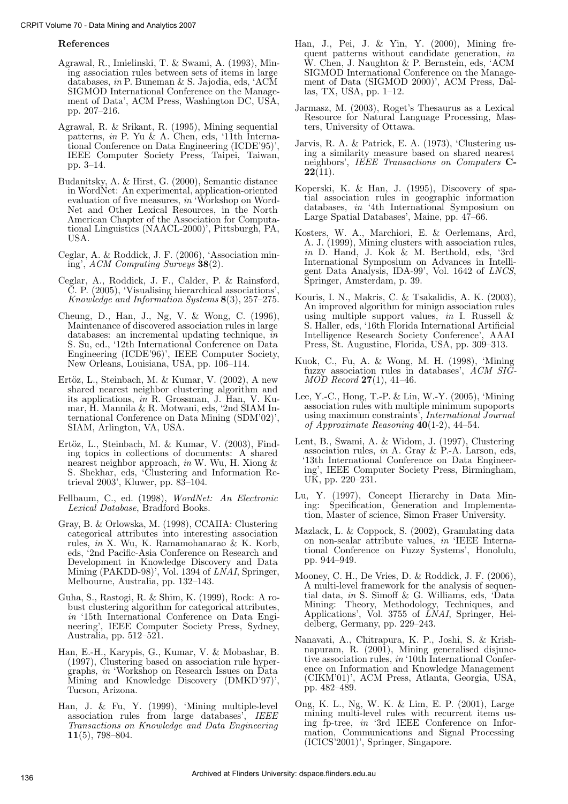#### References

- Agrawal, R., Imielinski, T. & Swami, A. (1993), Mining association rules between sets of items in large databases, in P. Buneman & S. Jajodia, eds, 'ACM SIGMOD International Conference on the Management of Data', ACM Press, Washington DC, USA, pp. 207–216.
- Agrawal, R. & Srikant, R. (1995), Mining sequential patterns, in P. Yu & A. Chen, eds, '11th International Conference on Data Engineering (ICDE'95)', IEEE Computer Society Press, Taipei, Taiwan, pp. 3–14.
- Budanitsky, A. & Hirst, G. (2000), Semantic distance in WordNet: An experimental, application-oriented evaluation of five measures, in 'Workshop on Word-Net and Other Lexical Resources, in the North American Chapter of the Association for Computational Linguistics (NAACL-2000)', Pittsburgh, PA, USA.
- Ceglar, A. & Roddick, J. F. (2006), 'Association mining', ACM Computing Surveys 38(2).
- Ceglar, A., Roddick, J. F., Calder, P. & Rainsford, C. P. (2005), 'Visualising hierarchical associations', Knowledge and Information Systems 8(3), 257–275.
- Cheung, D., Han, J., Ng, V. & Wong, C. (1996), Maintenance of discovered association rules in large databases: an incremental updating technique, in S. Su, ed., '12th International Conference on Data Engineering (ICDE'96)', IEEE Computer Society, New Orleans, Louisiana, USA, pp. 106–114.
- Ertöz, L., Steinbach, M. & Kumar, V.  $(2002)$ , A new shared nearest neighbor clustering algorithm and its applications,  $i\tilde{n}$  R. Grossman, J. Han, V. Kumar, H. Mannila & R. Motwani, eds, '2nd SIAM International Conference on Data Mining (SDM'02)', SIAM, Arlington, VA, USA.
- Ertöz, L., Steinbach, M. & Kumar, V. (2003), Finding topics in collections of documents: A shared nearest neighbor approach, in W. Wu, H. Xiong & S. Shekhar, eds, 'Clustering and Information Retrieval 2003', Kluwer, pp. 83–104.
- Fellbaum, C., ed. (1998), WordNet: An Electronic Lexical Database, Bradford Books.
- Gray, B. & Orlowska, M. (1998), CCAIIA: Clustering categorical attributes into interesting association rules, in X. Wu, K. Ramamohanarao & K. Korb, eds, '2nd Pacific-Asia Conference on Research and Development in Knowledge Discovery and Data Mining (PAKDD-98)', Vol. 1394 of LNAI, Springer, Melbourne, Australia, pp. 132–143.
- Guha, S., Rastogi, R. & Shim, K. (1999), Rock: A robust clustering algorithm for categorical attributes, in '15th International Conference on Data Engineering', IEEE Computer Society Press, Sydney, Australia, pp. 512–521.
- Han, E.-H., Karypis, G., Kumar, V. & Mobashar, B. (1997), Clustering based on association rule hypergraphs, in 'Workshop on Research Issues on Data Mining and Knowledge Discovery (DMKD'97)', Tucson, Arizona.
- Han, J. & Fu, Y. (1999), 'Mining multiple-level association rules from large databases', IEEE Transactions on Knowledge and Data Engineering 11(5), 798–804.
- Han, J., Pei, J. & Yin, Y. (2000), Mining frequent patterns without candidate generation, in W. Chen, J. Naughton & P. Bernstein, eds, 'ACM SIGMOD International Conference on the Management of Data (SIGMOD 2000)', ACM Press, Dallas, TX, USA, pp. 1–12.
- Jarmasz, M. (2003), Roget's Thesaurus as a Lexical Resource for Natural Language Processing, Masters, University of Ottawa.
- Jarvis, R. A. & Patrick, E. A. (1973), 'Clustering using a similarity measure based on shared nearest neighbors', IEEE Transactions on Computers C- $22(11)$ .
- Koperski, K. & Han, J. (1995), Discovery of spatial association rules in geographic information databases, in '4th International Symposium on Large Spatial Databases', Maine, pp. 47–66.
- Kosters, W. A., Marchiori, E. & Oerlemans, Ard, A. J. (1999), Mining clusters with association rules, in D. Hand, J. Kok & M. Berthold, eds, '3rd International Symposium on Advances in Intelligent Data Analysis, IDA-99', Vol. 1642 of LNCS, Springer, Amsterdam, p. 39.
- Kouris, I. N., Makris, C. & Tsakalidis, A. K. (2003), An improved algorithm for minign association rules using multiple support values, in I. Russell & S. Haller, eds, '16th Florida International Artificial Intelligence Research Society Conference', AAAI Press, St. Augustine, Florida, USA, pp. 309–313.
- Kuok, C., Fu, A. & Wong, M. H. (1998), 'Mining fuzzy association rules in databases', ACM SIG- $MOD$  Record 27(1), 41–46.
- Lee, Y.-C., Hong, T.-P. & Lin, W.-Y. (2005), 'Mining association rules with multiple minimum supoports using maximum constraints', International Journal of Approximate Reasoning  $40(1-2)$ , 44-54.
- Lent, B., Swami, A. & Widom, J. (1997), Clustering association rules, in A. Gray & P.-A. Larson, eds, '13th International Conference on Data Engineering', IEEE Computer Society Press, Birmingham, UK, pp. 220–231.
- Lu, Y. (1997), Concept Hierarchy in Data Mining: Specification, Generation and Implementation, Master of science, Simon Fraser University.
- Mazlack, L. & Coppock, S. (2002), Granulating data on non-scalar attribute values, in 'IEEE International Conference on Fuzzy Systems', Honolulu, pp. 944–949.
- Mooney, C. H., De Vries, D. & Roddick, J. F. (2006), A multi-level framework for the analysis of sequential data, in S. Simoff & G. Williams, eds, 'Data Mining: Theory, Methodology, Techniques, and Applications', Vol. 3755 of LNAI, Springer, Heidelberg, Germany, pp. 229–243.
- Nanavati, A., Chitrapura, K. P., Joshi, S. & Krishnapuram, R. (2001), Mining generalised disjunctive association rules, in '10th International Conference on Information and Knowledge Management (CIKM'01)', ACM Press, Atlanta, Georgia, USA, pp. 482–489.
- Ong, K. L., Ng, W. K. & Lim, E. P. (2001), Large mining multi-level rules with recurrent items using fp-tree, in '3rd IEEE Conference on Information, Communications and Signal Processing (ICICS'2001)', Springer, Singapore.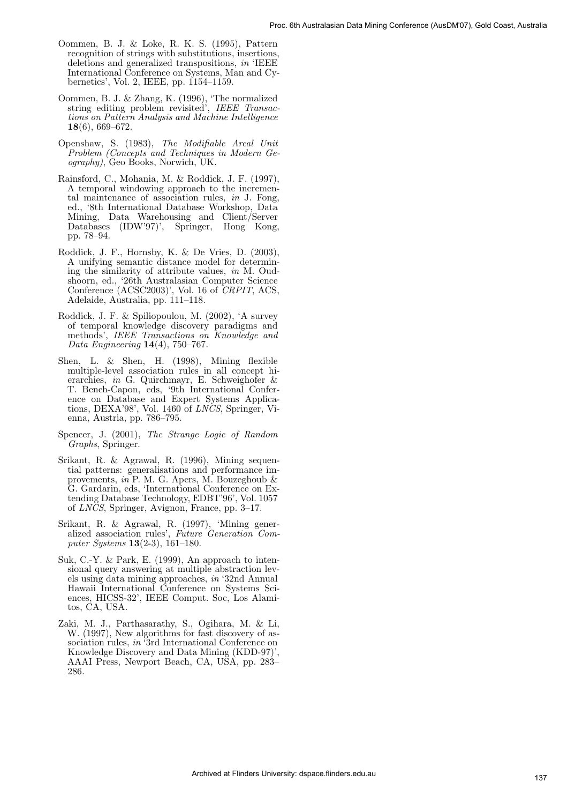- Oommen, B. J. & Loke, R. K. S. (1995), Pattern recognition of strings with substitutions, insertions, deletions and generalized transpositions, in 'IEEE International Conference on Systems, Man and Cybernetics', Vol. 2, IEEE, pp. 1154–1159.
- Oommen, B. J. & Zhang, K. (1996), 'The normalized string editing problem revisited', IEEE Transactions on Pattern Analysis and Machine Intelligence 18(6), 669–672.
- Openshaw, S. (1983), The Modifiable Areal Unit Problem (Concepts and Techniques in Modern Geography), Geo Books, Norwich, UK.
- Rainsford, C., Mohania, M. & Roddick, J. F. (1997), A temporal windowing approach to the incremental maintenance of association rules, in J. Fong, ed., '8th International Database Workshop, Data Mining, Data Warehousing and Client/Server Databases (IDW'97)', Springer, Hong Kong, pp. 78–94.
- Roddick, J. F., Hornsby, K. & De Vries, D. (2003), A unifying semantic distance model for determining the similarity of attribute values, in M. Oudshoorn, ed., '26th Australasian Computer Science Conference (ACSC2003)', Vol. 16 of CRPIT, ACS, Adelaide, Australia, pp. 111–118.
- Roddick, J. F. & Spiliopoulou, M. (2002), 'A survey of temporal knowledge discovery paradigms and methods', IEEE Transactions on Knowledge and Data Engineering 14(4), 750–767.
- Shen, L. & Shen, H. (1998), Mining flexible multiple-level association rules in all concept hierarchies, in G. Quirchmayr, E. Schweighofer & T. Bench-Capon, eds, '9th International Conference on Database and Expert Systems Applications, DEXA'98', Vol. 1460 of LNCS, Springer, Vienna, Austria, pp. 786–795.
- Spencer, J. (2001), The Strange Logic of Random Graphs, Springer.
- Srikant, R. & Agrawal, R. (1996), Mining sequential patterns: generalisations and performance improvements,  $in$  P. M. G. Apers, M. Bouzeghoub  $\&$ G. Gardarin, eds, 'International Conference on Extending Database Technology, EDBT'96', Vol. 1057 of LNCS, Springer, Avignon, France, pp. 3–17.
- Srikant, R. & Agrawal, R. (1997), 'Mining generalized association rules', Future Generation Computer Systems 13(2-3), 161–180.
- Suk, C.-Y. & Park, E. (1999), An approach to intensional query answering at multiple abstraction levels using data mining approaches, in '32nd Annual Hawaii International Conference on Systems Sciences, HICSS-32', IEEE Comput. Soc, Los Alamitos, CA, USA.
- Zaki, M. J., Parthasarathy, S., Ogihara, M. & Li, W. (1997), New algorithms for fast discovery of association rules, in '3rd International Conference on Knowledge Discovery and Data Mining (KDD-97)', AAAI Press, Newport Beach, CA, USA, pp. 283– 286.